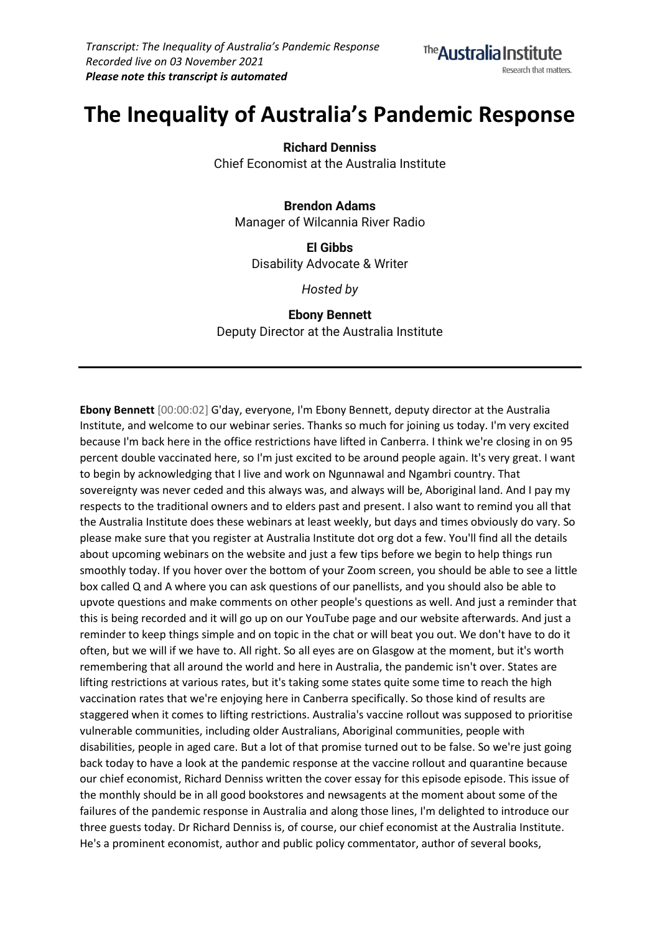

# **The Inequality of Australia's Pandemic Response**

**Richard Denniss**

Chief Economist at the Australia Institute

### **Brendon Adams**

Manager of Wilcannia River Radio

**El Gibbs** Disability Advocate & Writer

*Hosted by*

## **Ebony Bennett**

Deputy Director at the Australia Institute

**Ebony Bennett** [00:00:02] G'day, everyone, I'm Ebony Bennett, deputy director at the Australia Institute, and welcome to our webinar series. Thanks so much for joining us today. I'm very excited because I'm back here in the office restrictions have lifted in Canberra. I think we're closing in on 95 percent double vaccinated here, so I'm just excited to be around people again. It's very great. I want to begin by acknowledging that I live and work on Ngunnawal and Ngambri country. That sovereignty was never ceded and this always was, and always will be, Aboriginal land. And I pay my respects to the traditional owners and to elders past and present. I also want to remind you all that the Australia Institute does these webinars at least weekly, but days and times obviously do vary. So please make sure that you register at Australia Institute dot org dot a few. You'll find all the details about upcoming webinars on the website and just a few tips before we begin to help things run smoothly today. If you hover over the bottom of your Zoom screen, you should be able to see a little box called Q and A where you can ask questions of our panellists, and you should also be able to upvote questions and make comments on other people's questions as well. And just a reminder that this is being recorded and it will go up on our YouTube page and our website afterwards. And just a reminder to keep things simple and on topic in the chat or will beat you out. We don't have to do it often, but we will if we have to. All right. So all eyes are on Glasgow at the moment, but it's worth remembering that all around the world and here in Australia, the pandemic isn't over. States are lifting restrictions at various rates, but it's taking some states quite some time to reach the high vaccination rates that we're enjoying here in Canberra specifically. So those kind of results are staggered when it comes to lifting restrictions. Australia's vaccine rollout was supposed to prioritise vulnerable communities, including older Australians, Aboriginal communities, people with disabilities, people in aged care. But a lot of that promise turned out to be false. So we're just going back today to have a look at the pandemic response at the vaccine rollout and quarantine because our chief economist, Richard Denniss written the cover essay for this episode episode. This issue of the monthly should be in all good bookstores and newsagents at the moment about some of the failures of the pandemic response in Australia and along those lines, I'm delighted to introduce our three guests today. Dr Richard Denniss is, of course, our chief economist at the Australia Institute. He's a prominent economist, author and public policy commentator, author of several books,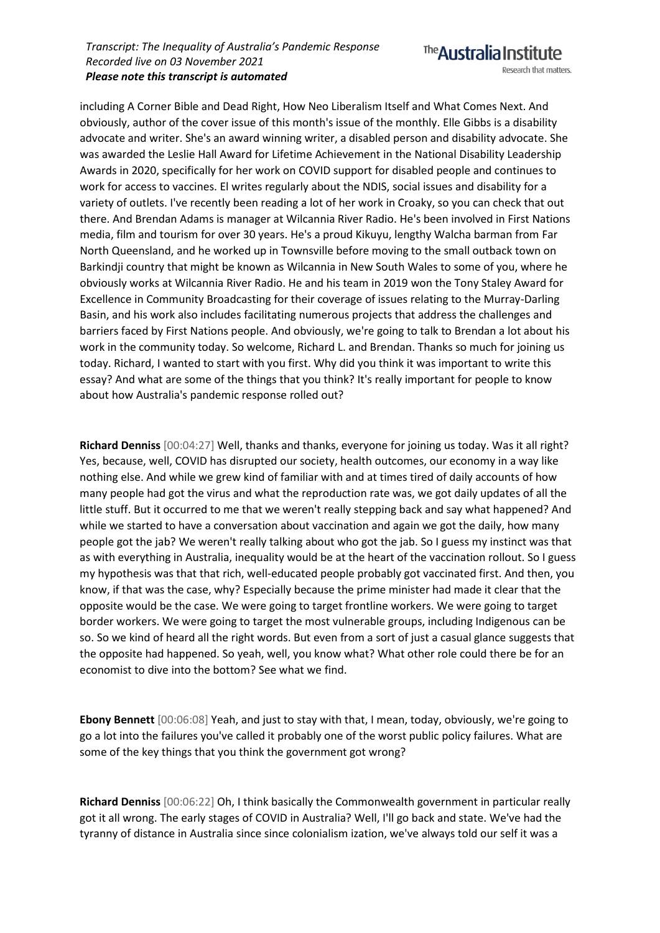The **Australia Institute** Research that matters.

including A Corner Bible and Dead Right, How Neo Liberalism Itself and What Comes Next. And obviously, author of the cover issue of this month's issue of the monthly. Elle Gibbs is a disability advocate and writer. She's an award winning writer, a disabled person and disability advocate. She was awarded the Leslie Hall Award for Lifetime Achievement in the National Disability Leadership Awards in 2020, specifically for her work on COVID support for disabled people and continues to work for access to vaccines. El writes regularly about the NDIS, social issues and disability for a variety of outlets. I've recently been reading a lot of her work in Croaky, so you can check that out there. And Brendan Adams is manager at Wilcannia River Radio. He's been involved in First Nations media, film and tourism for over 30 years. He's a proud Kikuyu, lengthy Walcha barman from Far North Queensland, and he worked up in Townsville before moving to the small outback town on Barkindji country that might be known as Wilcannia in New South Wales to some of you, where he obviously works at Wilcannia River Radio. He and his team in 2019 won the Tony Staley Award for Excellence in Community Broadcasting for their coverage of issues relating to the Murray-Darling Basin, and his work also includes facilitating numerous projects that address the challenges and barriers faced by First Nations people. And obviously, we're going to talk to Brendan a lot about his work in the community today. So welcome, Richard L. and Brendan. Thanks so much for joining us today. Richard, I wanted to start with you first. Why did you think it was important to write this essay? And what are some of the things that you think? It's really important for people to know about how Australia's pandemic response rolled out?

**Richard Denniss** [00:04:27] Well, thanks and thanks, everyone for joining us today. Was it all right? Yes, because, well, COVID has disrupted our society, health outcomes, our economy in a way like nothing else. And while we grew kind of familiar with and at times tired of daily accounts of how many people had got the virus and what the reproduction rate was, we got daily updates of all the little stuff. But it occurred to me that we weren't really stepping back and say what happened? And while we started to have a conversation about vaccination and again we got the daily, how many people got the jab? We weren't really talking about who got the jab. So I guess my instinct was that as with everything in Australia, inequality would be at the heart of the vaccination rollout. So I guess my hypothesis was that that rich, well-educated people probably got vaccinated first. And then, you know, if that was the case, why? Especially because the prime minister had made it clear that the opposite would be the case. We were going to target frontline workers. We were going to target border workers. We were going to target the most vulnerable groups, including Indigenous can be so. So we kind of heard all the right words. But even from a sort of just a casual glance suggests that the opposite had happened. So yeah, well, you know what? What other role could there be for an economist to dive into the bottom? See what we find.

**Ebony Bennett** [00:06:08] Yeah, and just to stay with that, I mean, today, obviously, we're going to go a lot into the failures you've called it probably one of the worst public policy failures. What are some of the key things that you think the government got wrong?

**Richard Denniss** [00:06:22] Oh, I think basically the Commonwealth government in particular really got it all wrong. The early stages of COVID in Australia? Well, I'll go back and state. We've had the tyranny of distance in Australia since since colonialism ization, we've always told our self it was a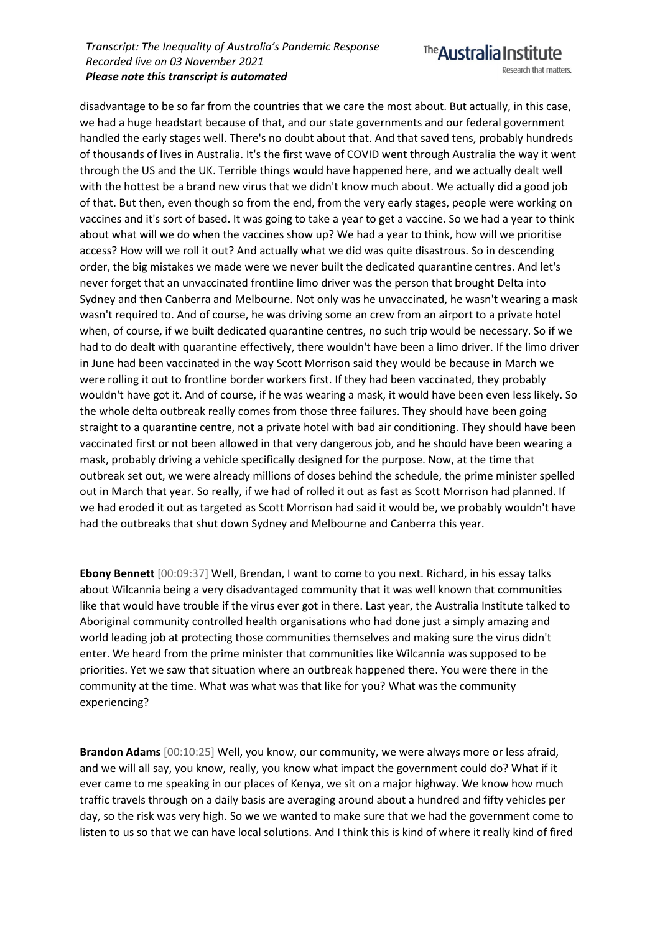

disadvantage to be so far from the countries that we care the most about. But actually, in this case, we had a huge headstart because of that, and our state governments and our federal government handled the early stages well. There's no doubt about that. And that saved tens, probably hundreds of thousands of lives in Australia. It's the first wave of COVID went through Australia the way it went through the US and the UK. Terrible things would have happened here, and we actually dealt well with the hottest be a brand new virus that we didn't know much about. We actually did a good job of that. But then, even though so from the end, from the very early stages, people were working on vaccines and it's sort of based. It was going to take a year to get a vaccine. So we had a year to think about what will we do when the vaccines show up? We had a year to think, how will we prioritise access? How will we roll it out? And actually what we did was quite disastrous. So in descending order, the big mistakes we made were we never built the dedicated quarantine centres. And let's never forget that an unvaccinated frontline limo driver was the person that brought Delta into Sydney and then Canberra and Melbourne. Not only was he unvaccinated, he wasn't wearing a mask wasn't required to. And of course, he was driving some an crew from an airport to a private hotel when, of course, if we built dedicated quarantine centres, no such trip would be necessary. So if we had to do dealt with quarantine effectively, there wouldn't have been a limo driver. If the limo driver in June had been vaccinated in the way Scott Morrison said they would be because in March we were rolling it out to frontline border workers first. If they had been vaccinated, they probably wouldn't have got it. And of course, if he was wearing a mask, it would have been even less likely. So the whole delta outbreak really comes from those three failures. They should have been going straight to a quarantine centre, not a private hotel with bad air conditioning. They should have been vaccinated first or not been allowed in that very dangerous job, and he should have been wearing a mask, probably driving a vehicle specifically designed for the purpose. Now, at the time that outbreak set out, we were already millions of doses behind the schedule, the prime minister spelled out in March that year. So really, if we had of rolled it out as fast as Scott Morrison had planned. If we had eroded it out as targeted as Scott Morrison had said it would be, we probably wouldn't have had the outbreaks that shut down Sydney and Melbourne and Canberra this year.

**Ebony Bennett** [00:09:37] Well, Brendan, I want to come to you next. Richard, in his essay talks about Wilcannia being a very disadvantaged community that it was well known that communities like that would have trouble if the virus ever got in there. Last year, the Australia Institute talked to Aboriginal community controlled health organisations who had done just a simply amazing and world leading job at protecting those communities themselves and making sure the virus didn't enter. We heard from the prime minister that communities like Wilcannia was supposed to be priorities. Yet we saw that situation where an outbreak happened there. You were there in the community at the time. What was what was that like for you? What was the community experiencing?

**Brandon Adams** [00:10:25] Well, you know, our community, we were always more or less afraid, and we will all say, you know, really, you know what impact the government could do? What if it ever came to me speaking in our places of Kenya, we sit on a major highway. We know how much traffic travels through on a daily basis are averaging around about a hundred and fifty vehicles per day, so the risk was very high. So we we wanted to make sure that we had the government come to listen to us so that we can have local solutions. And I think this is kind of where it really kind of fired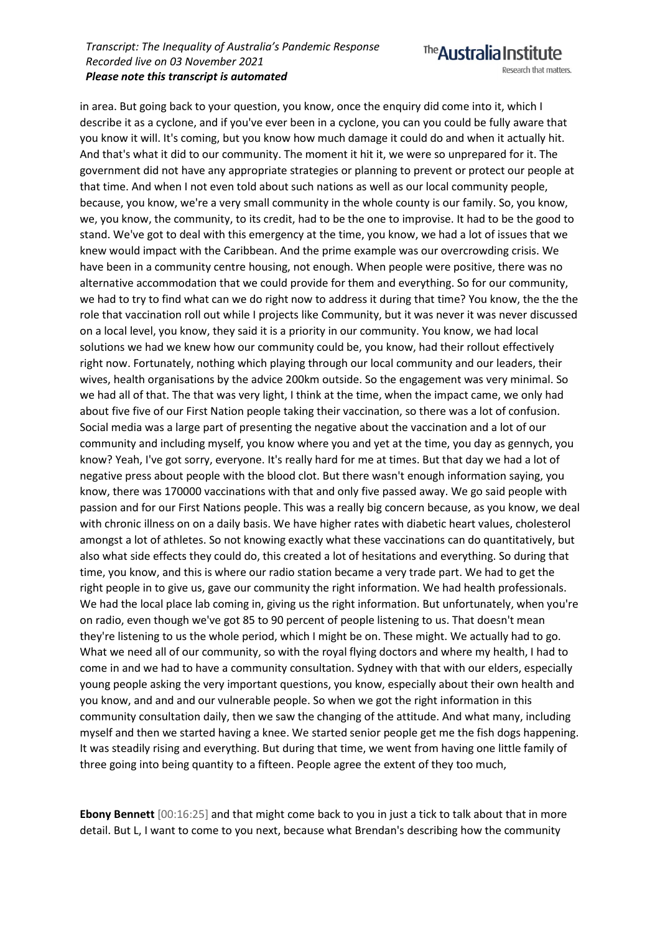Research that matters.

The Australia Institute

in area. But going back to your question, you know, once the enquiry did come into it, which I describe it as a cyclone, and if you've ever been in a cyclone, you can you could be fully aware that you know it will. It's coming, but you know how much damage it could do and when it actually hit. And that's what it did to our community. The moment it hit it, we were so unprepared for it. The government did not have any appropriate strategies or planning to prevent or protect our people at that time. And when I not even told about such nations as well as our local community people, because, you know, we're a very small community in the whole county is our family. So, you know, we, you know, the community, to its credit, had to be the one to improvise. It had to be the good to stand. We've got to deal with this emergency at the time, you know, we had a lot of issues that we knew would impact with the Caribbean. And the prime example was our overcrowding crisis. We have been in a community centre housing, not enough. When people were positive, there was no alternative accommodation that we could provide for them and everything. So for our community, we had to try to find what can we do right now to address it during that time? You know, the the the role that vaccination roll out while I projects like Community, but it was never it was never discussed on a local level, you know, they said it is a priority in our community. You know, we had local solutions we had we knew how our community could be, you know, had their rollout effectively right now. Fortunately, nothing which playing through our local community and our leaders, their wives, health organisations by the advice 200km outside. So the engagement was very minimal. So we had all of that. The that was very light, I think at the time, when the impact came, we only had about five five of our First Nation people taking their vaccination, so there was a lot of confusion. Social media was a large part of presenting the negative about the vaccination and a lot of our community and including myself, you know where you and yet at the time, you day as gennych, you know? Yeah, I've got sorry, everyone. It's really hard for me at times. But that day we had a lot of negative press about people with the blood clot. But there wasn't enough information saying, you know, there was 170000 vaccinations with that and only five passed away. We go said people with passion and for our First Nations people. This was a really big concern because, as you know, we deal with chronic illness on on a daily basis. We have higher rates with diabetic heart values, cholesterol amongst a lot of athletes. So not knowing exactly what these vaccinations can do quantitatively, but also what side effects they could do, this created a lot of hesitations and everything. So during that time, you know, and this is where our radio station became a very trade part. We had to get the right people in to give us, gave our community the right information. We had health professionals. We had the local place lab coming in, giving us the right information. But unfortunately, when you're on radio, even though we've got 85 to 90 percent of people listening to us. That doesn't mean they're listening to us the whole period, which I might be on. These might. We actually had to go. What we need all of our community, so with the royal flying doctors and where my health, I had to come in and we had to have a community consultation. Sydney with that with our elders, especially young people asking the very important questions, you know, especially about their own health and you know, and and and our vulnerable people. So when we got the right information in this community consultation daily, then we saw the changing of the attitude. And what many, including myself and then we started having a knee. We started senior people get me the fish dogs happening. It was steadily rising and everything. But during that time, we went from having one little family of three going into being quantity to a fifteen. People agree the extent of they too much,

**Ebony Bennett** [00:16:25] and that might come back to you in just a tick to talk about that in more detail. But L, I want to come to you next, because what Brendan's describing how the community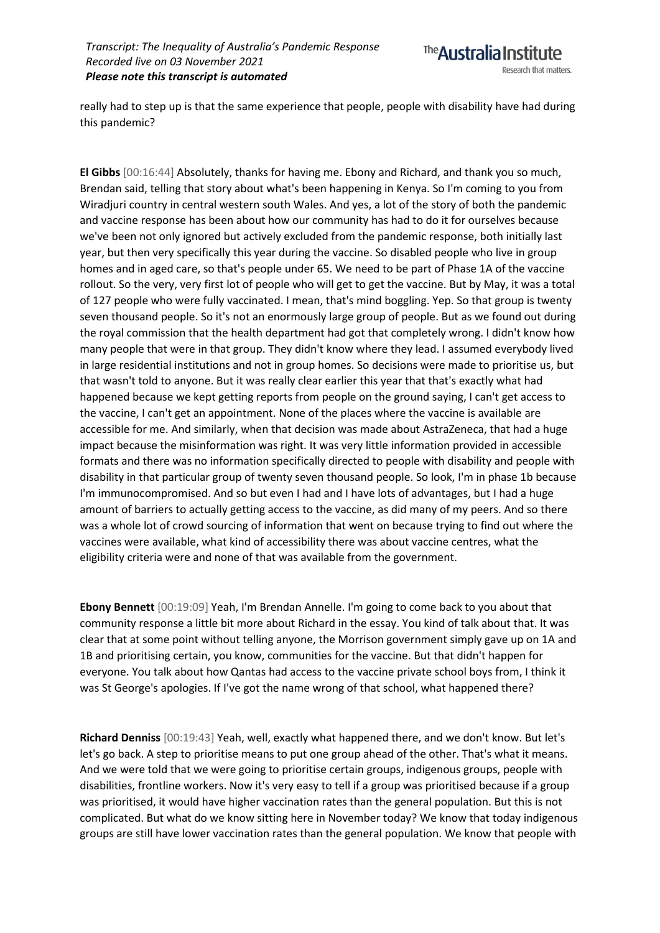

really had to step up is that the same experience that people, people with disability have had during this pandemic?

**El Gibbs** [00:16:44] Absolutely, thanks for having me. Ebony and Richard, and thank you so much, Brendan said, telling that story about what's been happening in Kenya. So I'm coming to you from Wiradjuri country in central western south Wales. And yes, a lot of the story of both the pandemic and vaccine response has been about how our community has had to do it for ourselves because we've been not only ignored but actively excluded from the pandemic response, both initially last year, but then very specifically this year during the vaccine. So disabled people who live in group homes and in aged care, so that's people under 65. We need to be part of Phase 1A of the vaccine rollout. So the very, very first lot of people who will get to get the vaccine. But by May, it was a total of 127 people who were fully vaccinated. I mean, that's mind boggling. Yep. So that group is twenty seven thousand people. So it's not an enormously large group of people. But as we found out during the royal commission that the health department had got that completely wrong. I didn't know how many people that were in that group. They didn't know where they lead. I assumed everybody lived in large residential institutions and not in group homes. So decisions were made to prioritise us, but that wasn't told to anyone. But it was really clear earlier this year that that's exactly what had happened because we kept getting reports from people on the ground saying, I can't get access to the vaccine, I can't get an appointment. None of the places where the vaccine is available are accessible for me. And similarly, when that decision was made about AstraZeneca, that had a huge impact because the misinformation was right. It was very little information provided in accessible formats and there was no information specifically directed to people with disability and people with disability in that particular group of twenty seven thousand people. So look, I'm in phase 1b because I'm immunocompromised. And so but even I had and I have lots of advantages, but I had a huge amount of barriers to actually getting access to the vaccine, as did many of my peers. And so there was a whole lot of crowd sourcing of information that went on because trying to find out where the vaccines were available, what kind of accessibility there was about vaccine centres, what the eligibility criteria were and none of that was available from the government.

**Ebony Bennett** [00:19:09] Yeah, I'm Brendan Annelle. I'm going to come back to you about that community response a little bit more about Richard in the essay. You kind of talk about that. It was clear that at some point without telling anyone, the Morrison government simply gave up on 1A and 1B and prioritising certain, you know, communities for the vaccine. But that didn't happen for everyone. You talk about how Qantas had access to the vaccine private school boys from, I think it was St George's apologies. If I've got the name wrong of that school, what happened there?

**Richard Denniss** [00:19:43] Yeah, well, exactly what happened there, and we don't know. But let's let's go back. A step to prioritise means to put one group ahead of the other. That's what it means. And we were told that we were going to prioritise certain groups, indigenous groups, people with disabilities, frontline workers. Now it's very easy to tell if a group was prioritised because if a group was prioritised, it would have higher vaccination rates than the general population. But this is not complicated. But what do we know sitting here in November today? We know that today indigenous groups are still have lower vaccination rates than the general population. We know that people with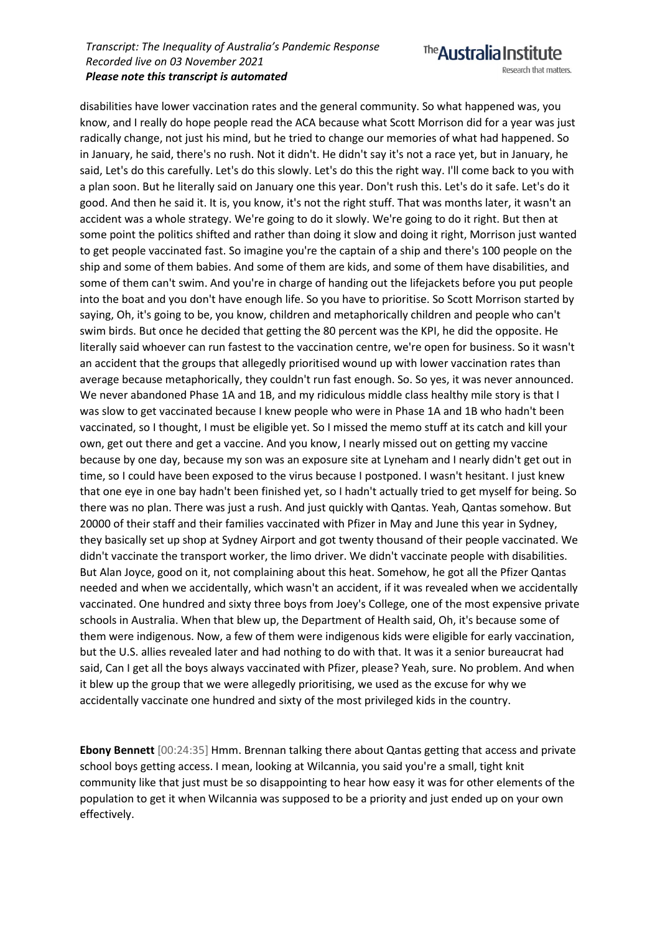The Australia Institute Research that matters.

disabilities have lower vaccination rates and the general community. So what happened was, you know, and I really do hope people read the ACA because what Scott Morrison did for a year was just radically change, not just his mind, but he tried to change our memories of what had happened. So in January, he said, there's no rush. Not it didn't. He didn't say it's not a race yet, but in January, he said, Let's do this carefully. Let's do this slowly. Let's do this the right way. I'll come back to you with a plan soon. But he literally said on January one this year. Don't rush this. Let's do it safe. Let's do it good. And then he said it. It is, you know, it's not the right stuff. That was months later, it wasn't an accident was a whole strategy. We're going to do it slowly. We're going to do it right. But then at some point the politics shifted and rather than doing it slow and doing it right, Morrison just wanted to get people vaccinated fast. So imagine you're the captain of a ship and there's 100 people on the ship and some of them babies. And some of them are kids, and some of them have disabilities, and some of them can't swim. And you're in charge of handing out the lifejackets before you put people into the boat and you don't have enough life. So you have to prioritise. So Scott Morrison started by saying, Oh, it's going to be, you know, children and metaphorically children and people who can't swim birds. But once he decided that getting the 80 percent was the KPI, he did the opposite. He literally said whoever can run fastest to the vaccination centre, we're open for business. So it wasn't an accident that the groups that allegedly prioritised wound up with lower vaccination rates than average because metaphorically, they couldn't run fast enough. So. So yes, it was never announced. We never abandoned Phase 1A and 1B, and my ridiculous middle class healthy mile story is that I was slow to get vaccinated because I knew people who were in Phase 1A and 1B who hadn't been vaccinated, so I thought, I must be eligible yet. So I missed the memo stuff at its catch and kill your own, get out there and get a vaccine. And you know, I nearly missed out on getting my vaccine because by one day, because my son was an exposure site at Lyneham and I nearly didn't get out in time, so I could have been exposed to the virus because I postponed. I wasn't hesitant. I just knew that one eye in one bay hadn't been finished yet, so I hadn't actually tried to get myself for being. So there was no plan. There was just a rush. And just quickly with Qantas. Yeah, Qantas somehow. But 20000 of their staff and their families vaccinated with Pfizer in May and June this year in Sydney, they basically set up shop at Sydney Airport and got twenty thousand of their people vaccinated. We didn't vaccinate the transport worker, the limo driver. We didn't vaccinate people with disabilities. But Alan Joyce, good on it, not complaining about this heat. Somehow, he got all the Pfizer Qantas needed and when we accidentally, which wasn't an accident, if it was revealed when we accidentally vaccinated. One hundred and sixty three boys from Joey's College, one of the most expensive private schools in Australia. When that blew up, the Department of Health said, Oh, it's because some of them were indigenous. Now, a few of them were indigenous kids were eligible for early vaccination, but the U.S. allies revealed later and had nothing to do with that. It was it a senior bureaucrat had said, Can I get all the boys always vaccinated with Pfizer, please? Yeah, sure. No problem. And when it blew up the group that we were allegedly prioritising, we used as the excuse for why we accidentally vaccinate one hundred and sixty of the most privileged kids in the country.

**Ebony Bennett** [00:24:35] Hmm. Brennan talking there about Qantas getting that access and private school boys getting access. I mean, looking at Wilcannia, you said you're a small, tight knit community like that just must be so disappointing to hear how easy it was for other elements of the population to get it when Wilcannia was supposed to be a priority and just ended up on your own effectively.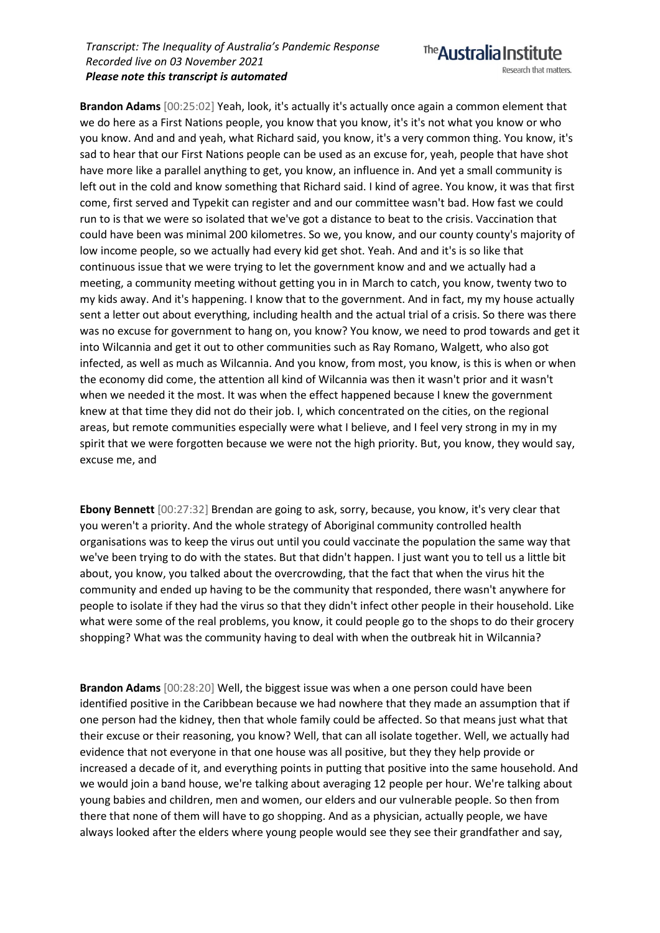

**Brandon Adams** [00:25:02] Yeah, look, it's actually it's actually once again a common element that we do here as a First Nations people, you know that you know, it's it's not what you know or who you know. And and and yeah, what Richard said, you know, it's a very common thing. You know, it's sad to hear that our First Nations people can be used as an excuse for, yeah, people that have shot have more like a parallel anything to get, you know, an influence in. And yet a small community is left out in the cold and know something that Richard said. I kind of agree. You know, it was that first come, first served and Typekit can register and and our committee wasn't bad. How fast we could run to is that we were so isolated that we've got a distance to beat to the crisis. Vaccination that could have been was minimal 200 kilometres. So we, you know, and our county county's majority of low income people, so we actually had every kid get shot. Yeah. And and it's is so like that continuous issue that we were trying to let the government know and and we actually had a meeting, a community meeting without getting you in in March to catch, you know, twenty two to my kids away. And it's happening. I know that to the government. And in fact, my my house actually sent a letter out about everything, including health and the actual trial of a crisis. So there was there was no excuse for government to hang on, you know? You know, we need to prod towards and get it into Wilcannia and get it out to other communities such as Ray Romano, Walgett, who also got infected, as well as much as Wilcannia. And you know, from most, you know, is this is when or when the economy did come, the attention all kind of Wilcannia was then it wasn't prior and it wasn't when we needed it the most. It was when the effect happened because I knew the government knew at that time they did not do their job. I, which concentrated on the cities, on the regional areas, but remote communities especially were what I believe, and I feel very strong in my in my spirit that we were forgotten because we were not the high priority. But, you know, they would say, excuse me, and

**Ebony Bennett** [00:27:32] Brendan are going to ask, sorry, because, you know, it's very clear that you weren't a priority. And the whole strategy of Aboriginal community controlled health organisations was to keep the virus out until you could vaccinate the population the same way that we've been trying to do with the states. But that didn't happen. I just want you to tell us a little bit about, you know, you talked about the overcrowding, that the fact that when the virus hit the community and ended up having to be the community that responded, there wasn't anywhere for people to isolate if they had the virus so that they didn't infect other people in their household. Like what were some of the real problems, you know, it could people go to the shops to do their grocery shopping? What was the community having to deal with when the outbreak hit in Wilcannia?

**Brandon Adams** [00:28:20] Well, the biggest issue was when a one person could have been identified positive in the Caribbean because we had nowhere that they made an assumption that if one person had the kidney, then that whole family could be affected. So that means just what that their excuse or their reasoning, you know? Well, that can all isolate together. Well, we actually had evidence that not everyone in that one house was all positive, but they they help provide or increased a decade of it, and everything points in putting that positive into the same household. And we would join a band house, we're talking about averaging 12 people per hour. We're talking about young babies and children, men and women, our elders and our vulnerable people. So then from there that none of them will have to go shopping. And as a physician, actually people, we have always looked after the elders where young people would see they see their grandfather and say,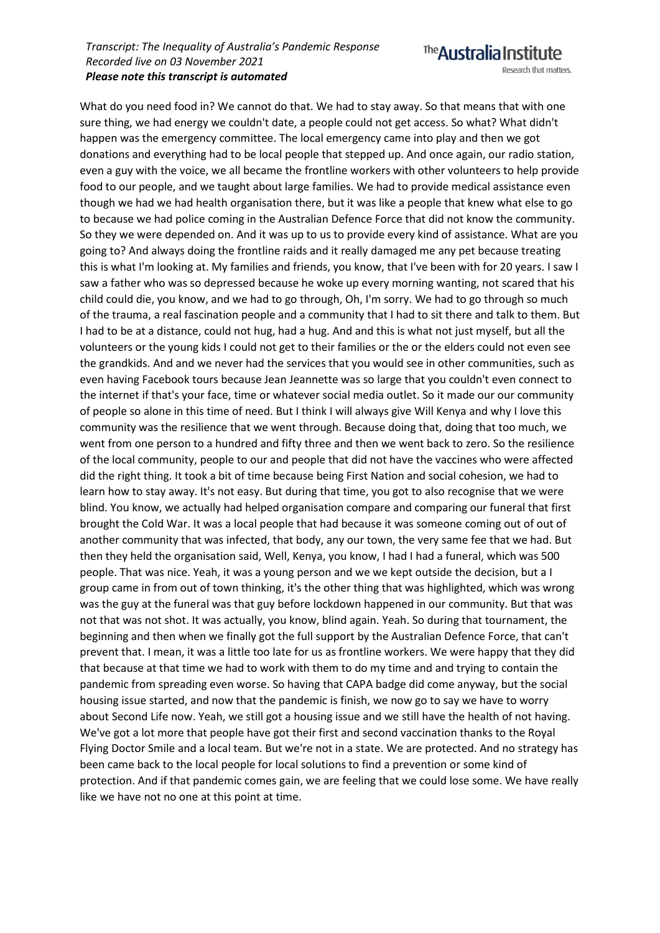Research that matters.

The Australia Institute

What do you need food in? We cannot do that. We had to stay away. So that means that with one sure thing, we had energy we couldn't date, a people could not get access. So what? What didn't happen was the emergency committee. The local emergency came into play and then we got donations and everything had to be local people that stepped up. And once again, our radio station, even a guy with the voice, we all became the frontline workers with other volunteers to help provide food to our people, and we taught about large families. We had to provide medical assistance even though we had we had health organisation there, but it was like a people that knew what else to go to because we had police coming in the Australian Defence Force that did not know the community. So they we were depended on. And it was up to us to provide every kind of assistance. What are you going to? And always doing the frontline raids and it really damaged me any pet because treating this is what I'm looking at. My families and friends, you know, that I've been with for 20 years. I saw I saw a father who was so depressed because he woke up every morning wanting, not scared that his child could die, you know, and we had to go through, Oh, I'm sorry. We had to go through so much of the trauma, a real fascination people and a community that I had to sit there and talk to them. But I had to be at a distance, could not hug, had a hug. And and this is what not just myself, but all the volunteers or the young kids I could not get to their families or the or the elders could not even see the grandkids. And and we never had the services that you would see in other communities, such as even having Facebook tours because Jean Jeannette was so large that you couldn't even connect to the internet if that's your face, time or whatever social media outlet. So it made our our community of people so alone in this time of need. But I think I will always give Will Kenya and why I love this community was the resilience that we went through. Because doing that, doing that too much, we went from one person to a hundred and fifty three and then we went back to zero. So the resilience of the local community, people to our and people that did not have the vaccines who were affected did the right thing. It took a bit of time because being First Nation and social cohesion, we had to learn how to stay away. It's not easy. But during that time, you got to also recognise that we were blind. You know, we actually had helped organisation compare and comparing our funeral that first brought the Cold War. It was a local people that had because it was someone coming out of out of another community that was infected, that body, any our town, the very same fee that we had. But then they held the organisation said, Well, Kenya, you know, I had I had a funeral, which was 500 people. That was nice. Yeah, it was a young person and we we kept outside the decision, but a I group came in from out of town thinking, it's the other thing that was highlighted, which was wrong was the guy at the funeral was that guy before lockdown happened in our community. But that was not that was not shot. It was actually, you know, blind again. Yeah. So during that tournament, the beginning and then when we finally got the full support by the Australian Defence Force, that can't prevent that. I mean, it was a little too late for us as frontline workers. We were happy that they did that because at that time we had to work with them to do my time and and trying to contain the pandemic from spreading even worse. So having that CAPA badge did come anyway, but the social housing issue started, and now that the pandemic is finish, we now go to say we have to worry about Second Life now. Yeah, we still got a housing issue and we still have the health of not having. We've got a lot more that people have got their first and second vaccination thanks to the Royal Flying Doctor Smile and a local team. But we're not in a state. We are protected. And no strategy has been came back to the local people for local solutions to find a prevention or some kind of protection. And if that pandemic comes gain, we are feeling that we could lose some. We have really like we have not no one at this point at time.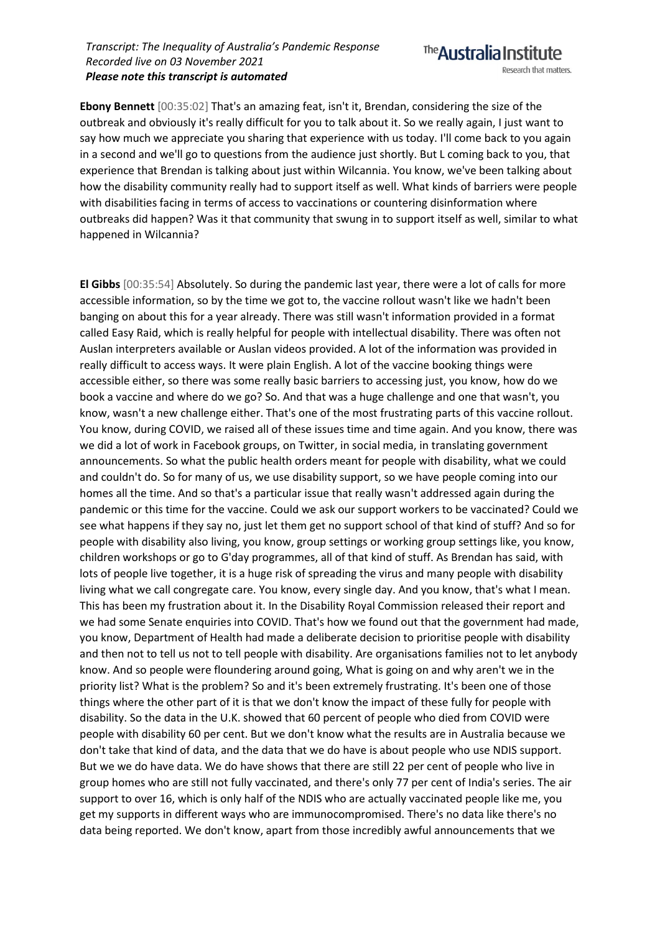**Ebony Bennett** [00:35:02] That's an amazing feat, isn't it, Brendan, considering the size of the outbreak and obviously it's really difficult for you to talk about it. So we really again, I just want to say how much we appreciate you sharing that experience with us today. I'll come back to you again in a second and we'll go to questions from the audience just shortly. But L coming back to you, that experience that Brendan is talking about just within Wilcannia. You know, we've been talking about how the disability community really had to support itself as well. What kinds of barriers were people with disabilities facing in terms of access to vaccinations or countering disinformation where outbreaks did happen? Was it that community that swung in to support itself as well, similar to what happened in Wilcannia?

**El Gibbs** [00:35:54] Absolutely. So during the pandemic last year, there were a lot of calls for more accessible information, so by the time we got to, the vaccine rollout wasn't like we hadn't been banging on about this for a year already. There was still wasn't information provided in a format called Easy Raid, which is really helpful for people with intellectual disability. There was often not Auslan interpreters available or Auslan videos provided. A lot of the information was provided in really difficult to access ways. It were plain English. A lot of the vaccine booking things were accessible either, so there was some really basic barriers to accessing just, you know, how do we book a vaccine and where do we go? So. And that was a huge challenge and one that wasn't, you know, wasn't a new challenge either. That's one of the most frustrating parts of this vaccine rollout. You know, during COVID, we raised all of these issues time and time again. And you know, there was we did a lot of work in Facebook groups, on Twitter, in social media, in translating government announcements. So what the public health orders meant for people with disability, what we could and couldn't do. So for many of us, we use disability support, so we have people coming into our homes all the time. And so that's a particular issue that really wasn't addressed again during the pandemic or this time for the vaccine. Could we ask our support workers to be vaccinated? Could we see what happens if they say no, just let them get no support school of that kind of stuff? And so for people with disability also living, you know, group settings or working group settings like, you know, children workshops or go to G'day programmes, all of that kind of stuff. As Brendan has said, with lots of people live together, it is a huge risk of spreading the virus and many people with disability living what we call congregate care. You know, every single day. And you know, that's what I mean. This has been my frustration about it. In the Disability Royal Commission released their report and we had some Senate enquiries into COVID. That's how we found out that the government had made, you know, Department of Health had made a deliberate decision to prioritise people with disability and then not to tell us not to tell people with disability. Are organisations families not to let anybody know. And so people were floundering around going, What is going on and why aren't we in the priority list? What is the problem? So and it's been extremely frustrating. It's been one of those things where the other part of it is that we don't know the impact of these fully for people with disability. So the data in the U.K. showed that 60 percent of people who died from COVID were people with disability 60 per cent. But we don't know what the results are in Australia because we don't take that kind of data, and the data that we do have is about people who use NDIS support. But we we do have data. We do have shows that there are still 22 per cent of people who live in group homes who are still not fully vaccinated, and there's only 77 per cent of India's series. The air support to over 16, which is only half of the NDIS who are actually vaccinated people like me, you get my supports in different ways who are immunocompromised. There's no data like there's no data being reported. We don't know, apart from those incredibly awful announcements that we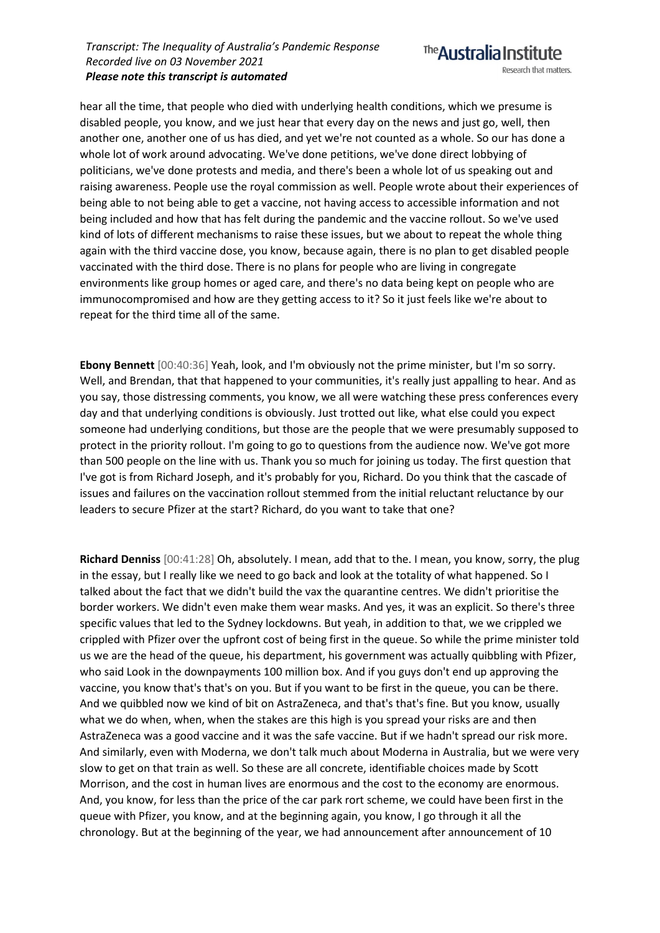hear all the time, that people who died with underlying health conditions, which we presume is disabled people, you know, and we just hear that every day on the news and just go, well, then another one, another one of us has died, and yet we're not counted as a whole. So our has done a whole lot of work around advocating. We've done petitions, we've done direct lobbying of politicians, we've done protests and media, and there's been a whole lot of us speaking out and raising awareness. People use the royal commission as well. People wrote about their experiences of being able to not being able to get a vaccine, not having access to accessible information and not being included and how that has felt during the pandemic and the vaccine rollout. So we've used kind of lots of different mechanisms to raise these issues, but we about to repeat the whole thing again with the third vaccine dose, you know, because again, there is no plan to get disabled people vaccinated with the third dose. There is no plans for people who are living in congregate environments like group homes or aged care, and there's no data being kept on people who are immunocompromised and how are they getting access to it? So it just feels like we're about to repeat for the third time all of the same.

**Ebony Bennett** [00:40:36] Yeah, look, and I'm obviously not the prime minister, but I'm so sorry. Well, and Brendan, that that happened to your communities, it's really just appalling to hear. And as you say, those distressing comments, you know, we all were watching these press conferences every day and that underlying conditions is obviously. Just trotted out like, what else could you expect someone had underlying conditions, but those are the people that we were presumably supposed to protect in the priority rollout. I'm going to go to questions from the audience now. We've got more than 500 people on the line with us. Thank you so much for joining us today. The first question that I've got is from Richard Joseph, and it's probably for you, Richard. Do you think that the cascade of issues and failures on the vaccination rollout stemmed from the initial reluctant reluctance by our leaders to secure Pfizer at the start? Richard, do you want to take that one?

**Richard Denniss** [00:41:28] Oh, absolutely. I mean, add that to the. I mean, you know, sorry, the plug in the essay, but I really like we need to go back and look at the totality of what happened. So I talked about the fact that we didn't build the vax the quarantine centres. We didn't prioritise the border workers. We didn't even make them wear masks. And yes, it was an explicit. So there's three specific values that led to the Sydney lockdowns. But yeah, in addition to that, we we crippled we crippled with Pfizer over the upfront cost of being first in the queue. So while the prime minister told us we are the head of the queue, his department, his government was actually quibbling with Pfizer, who said Look in the downpayments 100 million box. And if you guys don't end up approving the vaccine, you know that's that's on you. But if you want to be first in the queue, you can be there. And we quibbled now we kind of bit on AstraZeneca, and that's that's fine. But you know, usually what we do when, when, when the stakes are this high is you spread your risks are and then AstraZeneca was a good vaccine and it was the safe vaccine. But if we hadn't spread our risk more. And similarly, even with Moderna, we don't talk much about Moderna in Australia, but we were very slow to get on that train as well. So these are all concrete, identifiable choices made by Scott Morrison, and the cost in human lives are enormous and the cost to the economy are enormous. And, you know, for less than the price of the car park rort scheme, we could have been first in the queue with Pfizer, you know, and at the beginning again, you know, I go through it all the chronology. But at the beginning of the year, we had announcement after announcement of 10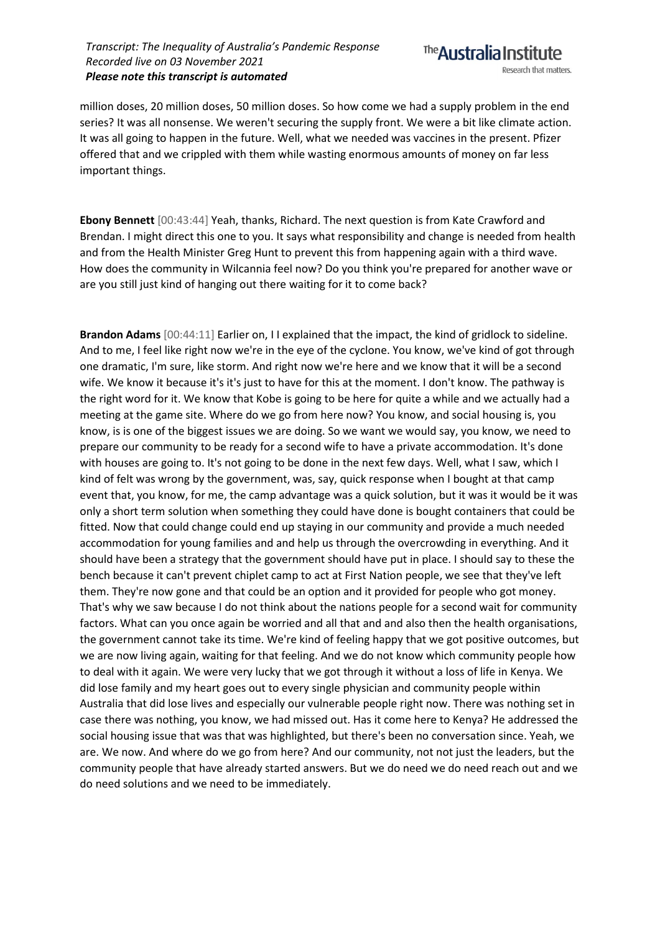

million doses, 20 million doses, 50 million doses. So how come we had a supply problem in the end series? It was all nonsense. We weren't securing the supply front. We were a bit like climate action. It was all going to happen in the future. Well, what we needed was vaccines in the present. Pfizer offered that and we crippled with them while wasting enormous amounts of money on far less important things.

**Ebony Bennett** [00:43:44] Yeah, thanks, Richard. The next question is from Kate Crawford and Brendan. I might direct this one to you. It says what responsibility and change is needed from health and from the Health Minister Greg Hunt to prevent this from happening again with a third wave. How does the community in Wilcannia feel now? Do you think you're prepared for another wave or are you still just kind of hanging out there waiting for it to come back?

**Brandon Adams** [00:44:11] Earlier on, I I explained that the impact, the kind of gridlock to sideline. And to me, I feel like right now we're in the eye of the cyclone. You know, we've kind of got through one dramatic, I'm sure, like storm. And right now we're here and we know that it will be a second wife. We know it because it's it's just to have for this at the moment. I don't know. The pathway is the right word for it. We know that Kobe is going to be here for quite a while and we actually had a meeting at the game site. Where do we go from here now? You know, and social housing is, you know, is is one of the biggest issues we are doing. So we want we would say, you know, we need to prepare our community to be ready for a second wife to have a private accommodation. It's done with houses are going to. It's not going to be done in the next few days. Well, what I saw, which I kind of felt was wrong by the government, was, say, quick response when I bought at that camp event that, you know, for me, the camp advantage was a quick solution, but it was it would be it was only a short term solution when something they could have done is bought containers that could be fitted. Now that could change could end up staying in our community and provide a much needed accommodation for young families and and help us through the overcrowding in everything. And it should have been a strategy that the government should have put in place. I should say to these the bench because it can't prevent chiplet camp to act at First Nation people, we see that they've left them. They're now gone and that could be an option and it provided for people who got money. That's why we saw because I do not think about the nations people for a second wait for community factors. What can you once again be worried and all that and and also then the health organisations, the government cannot take its time. We're kind of feeling happy that we got positive outcomes, but we are now living again, waiting for that feeling. And we do not know which community people how to deal with it again. We were very lucky that we got through it without a loss of life in Kenya. We did lose family and my heart goes out to every single physician and community people within Australia that did lose lives and especially our vulnerable people right now. There was nothing set in case there was nothing, you know, we had missed out. Has it come here to Kenya? He addressed the social housing issue that was that was highlighted, but there's been no conversation since. Yeah, we are. We now. And where do we go from here? And our community, not not just the leaders, but the community people that have already started answers. But we do need we do need reach out and we do need solutions and we need to be immediately.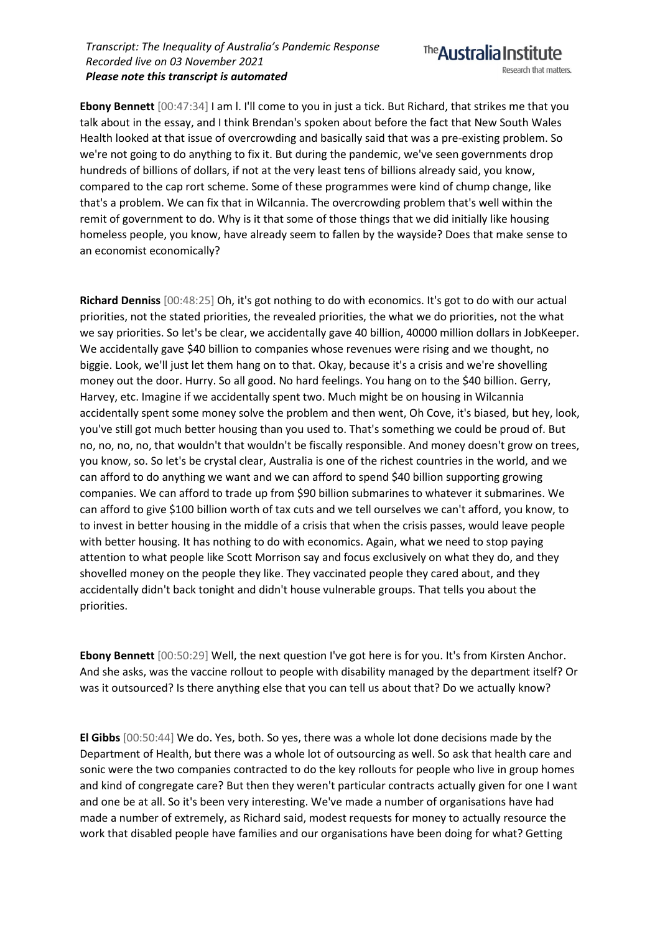**Ebony Bennett** [00:47:34] I am l. I'll come to you in just a tick. But Richard, that strikes me that you talk about in the essay, and I think Brendan's spoken about before the fact that New South Wales Health looked at that issue of overcrowding and basically said that was a pre-existing problem. So we're not going to do anything to fix it. But during the pandemic, we've seen governments drop hundreds of billions of dollars, if not at the very least tens of billions already said, you know, compared to the cap rort scheme. Some of these programmes were kind of chump change, like that's a problem. We can fix that in Wilcannia. The overcrowding problem that's well within the remit of government to do. Why is it that some of those things that we did initially like housing homeless people, you know, have already seem to fallen by the wayside? Does that make sense to an economist economically?

**Richard Denniss** [00:48:25] Oh, it's got nothing to do with economics. It's got to do with our actual priorities, not the stated priorities, the revealed priorities, the what we do priorities, not the what we say priorities. So let's be clear, we accidentally gave 40 billion, 40000 million dollars in JobKeeper. We accidentally gave \$40 billion to companies whose revenues were rising and we thought, no biggie. Look, we'll just let them hang on to that. Okay, because it's a crisis and we're shovelling money out the door. Hurry. So all good. No hard feelings. You hang on to the \$40 billion. Gerry, Harvey, etc. Imagine if we accidentally spent two. Much might be on housing in Wilcannia accidentally spent some money solve the problem and then went, Oh Cove, it's biased, but hey, look, you've still got much better housing than you used to. That's something we could be proud of. But no, no, no, no, that wouldn't that wouldn't be fiscally responsible. And money doesn't grow on trees, you know, so. So let's be crystal clear, Australia is one of the richest countries in the world, and we can afford to do anything we want and we can afford to spend \$40 billion supporting growing companies. We can afford to trade up from \$90 billion submarines to whatever it submarines. We can afford to give \$100 billion worth of tax cuts and we tell ourselves we can't afford, you know, to to invest in better housing in the middle of a crisis that when the crisis passes, would leave people with better housing. It has nothing to do with economics. Again, what we need to stop paying attention to what people like Scott Morrison say and focus exclusively on what they do, and they shovelled money on the people they like. They vaccinated people they cared about, and they accidentally didn't back tonight and didn't house vulnerable groups. That tells you about the priorities.

**Ebony Bennett** [00:50:29] Well, the next question I've got here is for you. It's from Kirsten Anchor. And she asks, was the vaccine rollout to people with disability managed by the department itself? Or was it outsourced? Is there anything else that you can tell us about that? Do we actually know?

**El Gibbs** [00:50:44] We do. Yes, both. So yes, there was a whole lot done decisions made by the Department of Health, but there was a whole lot of outsourcing as well. So ask that health care and sonic were the two companies contracted to do the key rollouts for people who live in group homes and kind of congregate care? But then they weren't particular contracts actually given for one I want and one be at all. So it's been very interesting. We've made a number of organisations have had made a number of extremely, as Richard said, modest requests for money to actually resource the work that disabled people have families and our organisations have been doing for what? Getting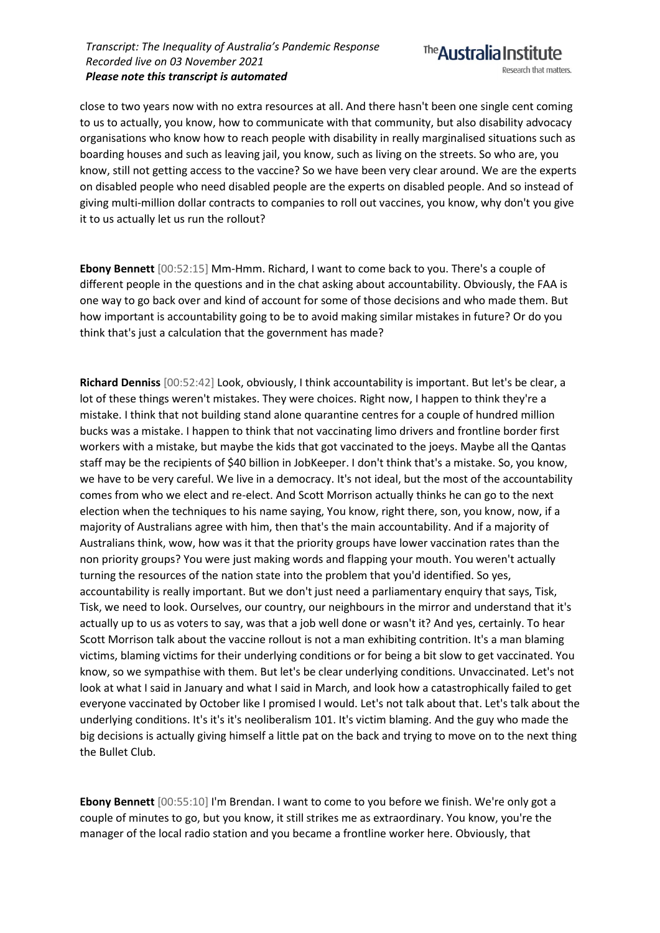close to two years now with no extra resources at all. And there hasn't been one single cent coming to us to actually, you know, how to communicate with that community, but also disability advocacy organisations who know how to reach people with disability in really marginalised situations such as boarding houses and such as leaving jail, you know, such as living on the streets. So who are, you know, still not getting access to the vaccine? So we have been very clear around. We are the experts on disabled people who need disabled people are the experts on disabled people. And so instead of giving multi-million dollar contracts to companies to roll out vaccines, you know, why don't you give it to us actually let us run the rollout?

**Ebony Bennett** [00:52:15] Mm-Hmm. Richard, I want to come back to you. There's a couple of different people in the questions and in the chat asking about accountability. Obviously, the FAA is one way to go back over and kind of account for some of those decisions and who made them. But how important is accountability going to be to avoid making similar mistakes in future? Or do you think that's just a calculation that the government has made?

**Richard Denniss** [00:52:42] Look, obviously, I think accountability is important. But let's be clear, a lot of these things weren't mistakes. They were choices. Right now, I happen to think they're a mistake. I think that not building stand alone quarantine centres for a couple of hundred million bucks was a mistake. I happen to think that not vaccinating limo drivers and frontline border first workers with a mistake, but maybe the kids that got vaccinated to the joeys. Maybe all the Qantas staff may be the recipients of \$40 billion in JobKeeper. I don't think that's a mistake. So, you know, we have to be very careful. We live in a democracy. It's not ideal, but the most of the accountability comes from who we elect and re-elect. And Scott Morrison actually thinks he can go to the next election when the techniques to his name saying, You know, right there, son, you know, now, if a majority of Australians agree with him, then that's the main accountability. And if a majority of Australians think, wow, how was it that the priority groups have lower vaccination rates than the non priority groups? You were just making words and flapping your mouth. You weren't actually turning the resources of the nation state into the problem that you'd identified. So yes, accountability is really important. But we don't just need a parliamentary enquiry that says, Tisk, Tisk, we need to look. Ourselves, our country, our neighbours in the mirror and understand that it's actually up to us as voters to say, was that a job well done or wasn't it? And yes, certainly. To hear Scott Morrison talk about the vaccine rollout is not a man exhibiting contrition. It's a man blaming victims, blaming victims for their underlying conditions or for being a bit slow to get vaccinated. You know, so we sympathise with them. But let's be clear underlying conditions. Unvaccinated. Let's not look at what I said in January and what I said in March, and look how a catastrophically failed to get everyone vaccinated by October like I promised I would. Let's not talk about that. Let's talk about the underlying conditions. It's it's it's neoliberalism 101. It's victim blaming. And the guy who made the big decisions is actually giving himself a little pat on the back and trying to move on to the next thing the Bullet Club.

**Ebony Bennett** [00:55:10] I'm Brendan. I want to come to you before we finish. We're only got a couple of minutes to go, but you know, it still strikes me as extraordinary. You know, you're the manager of the local radio station and you became a frontline worker here. Obviously, that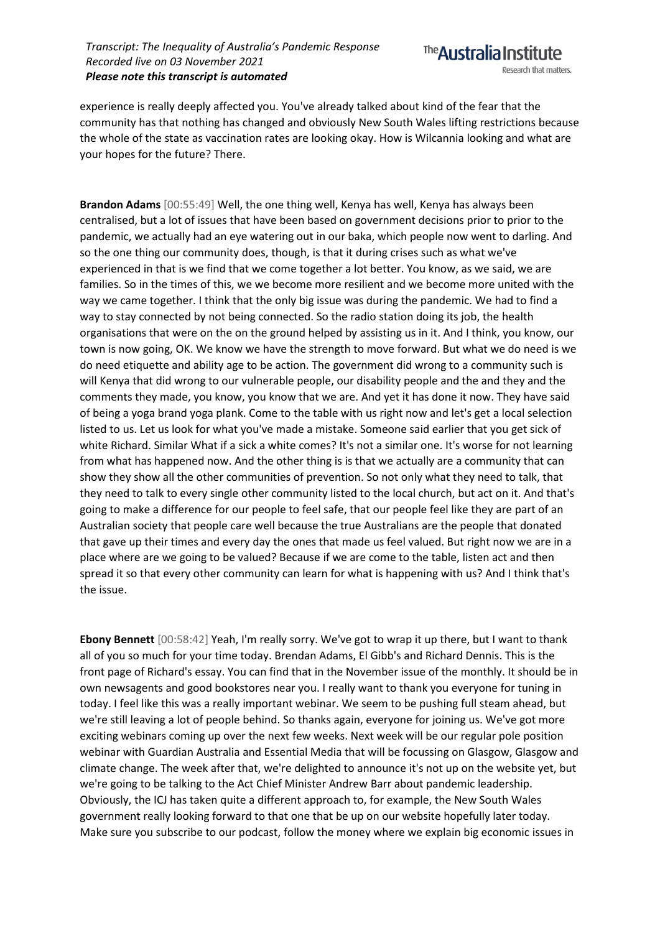

experience is really deeply affected you. You've already talked about kind of the fear that the community has that nothing has changed and obviously New South Wales lifting restrictions because the whole of the state as vaccination rates are looking okay. How is Wilcannia looking and what are your hopes for the future? There.

**Brandon Adams** [00:55:49] Well, the one thing well, Kenya has well, Kenya has always been centralised, but a lot of issues that have been based on government decisions prior to prior to the pandemic, we actually had an eye watering out in our baka, which people now went to darling. And so the one thing our community does, though, is that it during crises such as what we've experienced in that is we find that we come together a lot better. You know, as we said, we are families. So in the times of this, we we become more resilient and we become more united with the way we came together. I think that the only big issue was during the pandemic. We had to find a way to stay connected by not being connected. So the radio station doing its job, the health organisations that were on the on the ground helped by assisting us in it. And I think, you know, our town is now going, OK. We know we have the strength to move forward. But what we do need is we do need etiquette and ability age to be action. The government did wrong to a community such is will Kenya that did wrong to our vulnerable people, our disability people and the and they and the comments they made, you know, you know that we are. And yet it has done it now. They have said of being a yoga brand yoga plank. Come to the table with us right now and let's get a local selection listed to us. Let us look for what you've made a mistake. Someone said earlier that you get sick of white Richard. Similar What if a sick a white comes? It's not a similar one. It's worse for not learning from what has happened now. And the other thing is is that we actually are a community that can show they show all the other communities of prevention. So not only what they need to talk, that they need to talk to every single other community listed to the local church, but act on it. And that's going to make a difference for our people to feel safe, that our people feel like they are part of an Australian society that people care well because the true Australians are the people that donated that gave up their times and every day the ones that made us feel valued. But right now we are in a place where are we going to be valued? Because if we are come to the table, listen act and then spread it so that every other community can learn for what is happening with us? And I think that's the issue.

**Ebony Bennett** [00:58:42] Yeah, I'm really sorry. We've got to wrap it up there, but I want to thank all of you so much for your time today. Brendan Adams, El Gibb's and Richard Dennis. This is the front page of Richard's essay. You can find that in the November issue of the monthly. It should be in own newsagents and good bookstores near you. I really want to thank you everyone for tuning in today. I feel like this was a really important webinar. We seem to be pushing full steam ahead, but we're still leaving a lot of people behind. So thanks again, everyone for joining us. We've got more exciting webinars coming up over the next few weeks. Next week will be our regular pole position webinar with Guardian Australia and Essential Media that will be focussing on Glasgow, Glasgow and climate change. The week after that, we're delighted to announce it's not up on the website yet, but we're going to be talking to the Act Chief Minister Andrew Barr about pandemic leadership. Obviously, the ICJ has taken quite a different approach to, for example, the New South Wales government really looking forward to that one that be up on our website hopefully later today. Make sure you subscribe to our podcast, follow the money where we explain big economic issues in